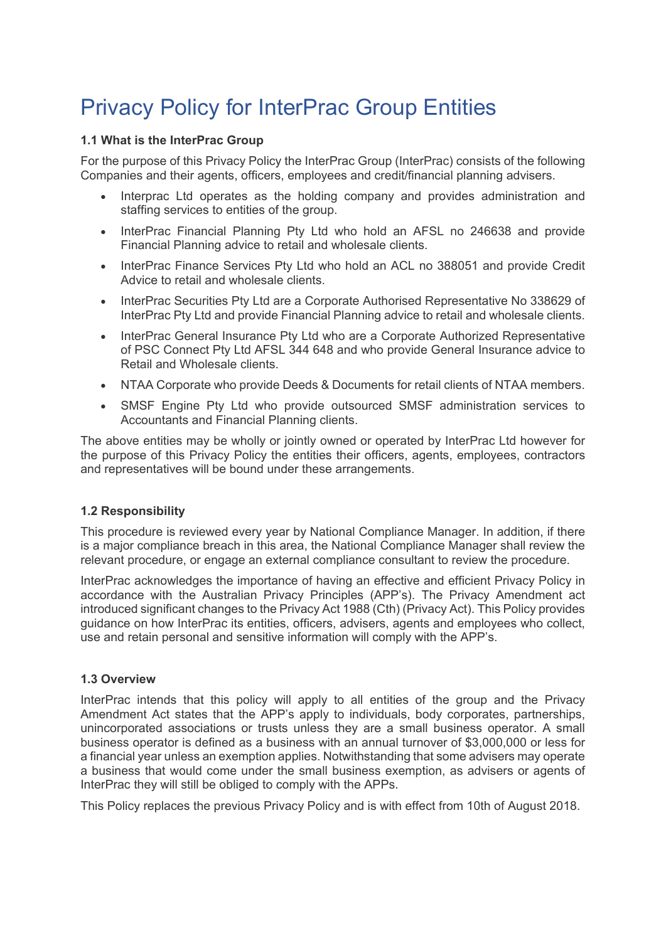# Privacy Policy for InterPrac Group Entities

## **1.1 What is the InterPrac Group**

For the purpose of this Privacy Policy the InterPrac Group (InterPrac) consists of the following Companies and their agents, officers, employees and credit/financial planning advisers.

- Interprac Ltd operates as the holding company and provides administration and staffing services to entities of the group.
- InterPrac Financial Planning Pty Ltd who hold an AFSL no 246638 and provide Financial Planning advice to retail and wholesale clients.
- InterPrac Finance Services Pty Ltd who hold an ACL no 388051 and provide Credit Advice to retail and wholesale clients.
- InterPrac Securities Pty Ltd are a Corporate Authorised Representative No 338629 of InterPrac Pty Ltd and provide Financial Planning advice to retail and wholesale clients.
- InterPrac General Insurance Pty Ltd who are a Corporate Authorized Representative of PSC Connect Pty Ltd AFSL 344 648 and who provide General Insurance advice to Retail and Wholesale clients.
- NTAA Corporate who provide Deeds & Documents for retail clients of NTAA members.
- SMSF Engine Pty Ltd who provide outsourced SMSF administration services to Accountants and Financial Planning clients.

The above entities may be wholly or jointly owned or operated by InterPrac Ltd however for the purpose of this Privacy Policy the entities their officers, agents, employees, contractors and representatives will be bound under these arrangements.

#### **1.2 Responsibility**

This procedure is reviewed every year by National Compliance Manager. In addition, if there is a major compliance breach in this area, the National Compliance Manager shall review the relevant procedure, or engage an external compliance consultant to review the procedure.

InterPrac acknowledges the importance of having an effective and efficient Privacy Policy in accordance with the Australian Privacy Principles (APP's). The Privacy Amendment act introduced significant changes to the Privacy Act 1988 (Cth) (Privacy Act). This Policy provides guidance on how InterPrac its entities, officers, advisers, agents and employees who collect, use and retain personal and sensitive information will comply with the APP's.

#### **1.3 Overview**

InterPrac intends that this policy will apply to all entities of the group and the Privacy Amendment Act states that the APP's apply to individuals, body corporates, partnerships, unincorporated associations or trusts unless they are a small business operator. A small business operator is defined as a business with an annual turnover of \$3,000,000 or less for a financial year unless an exemption applies. Notwithstanding that some advisers may operate a business that would come under the small business exemption, as advisers or agents of InterPrac they will still be obliged to comply with the APPs.

This Policy replaces the previous Privacy Policy and is with effect from 10th of August 2018.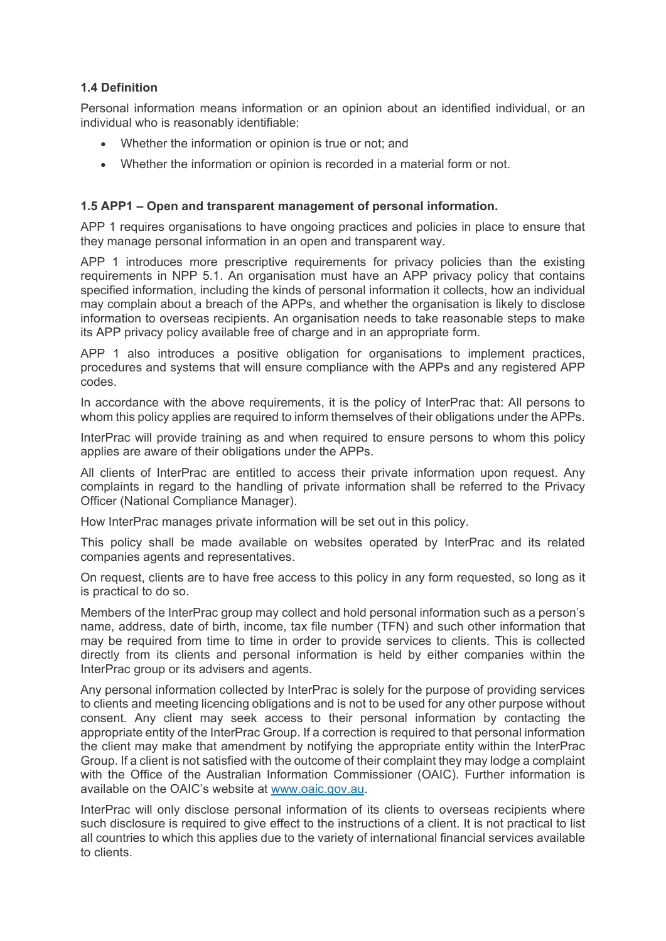## **1.4 Definition**

Personal information means information or an opinion about an identified individual, or an individual who is reasonably identifiable:

- Whether the information or opinion is true or not; and
- Whether the information or opinion is recorded in a material form or not.

## **1.5 APP1 – Open and transparent management of personal information.**

APP 1 requires organisations to have ongoing practices and policies in place to ensure that they manage personal information in an open and transparent way.

APP 1 introduces more prescriptive requirements for privacy policies than the existing requirements in NPP 5.1. An organisation must have an APP privacy policy that contains specified information, including the kinds of personal information it collects, how an individual may complain about a breach of the APPs, and whether the organisation is likely to disclose information to overseas recipients. An organisation needs to take reasonable steps to make its APP privacy policy available free of charge and in an appropriate form.

APP 1 also introduces a positive obligation for organisations to implement practices, procedures and systems that will ensure compliance with the APPs and any registered APP codes.

In accordance with the above requirements, it is the policy of InterPrac that: All persons to whom this policy applies are required to inform themselves of their obligations under the APPs.

InterPrac will provide training as and when required to ensure persons to whom this policy applies are aware of their obligations under the APPs.

All clients of InterPrac are entitled to access their private information upon request. Any complaints in regard to the handling of private information shall be referred to the Privacy Officer (National Compliance Manager).

How InterPrac manages private information will be set out in this policy.

This policy shall be made available on websites operated by InterPrac and its related companies agents and representatives.

On request, clients are to have free access to this policy in any form requested, so long as it is practical to do so.

Members of the InterPrac group may collect and hold personal information such as a person's name, address, date of birth, income, tax file number (TFN) and such other information that may be required from time to time in order to provide services to clients. This is collected directly from its clients and personal information is held by either companies within the InterPrac group or its advisers and agents.

Any personal information collected by InterPrac is solely for the purpose of providing services to clients and meeting licencing obligations and is not to be used for any other purpose without consent. Any client may seek access to their personal information by contacting the appropriate entity of the InterPrac Group. If a correction is required to that personal information the client may make that amendment by notifying the appropriate entity within the InterPrac Group. If a client is not satisfied with the outcome of their complaint they may lodge a complaint with the Office of the Australian Information Commissioner (OAIC). Further information is available on the OAIC's website at [www.oaic.gov.au.](http://www.oaic.gov.au/)

InterPrac will only disclose personal information of its clients to overseas recipients where such disclosure is required to give effect to the instructions of a client. It is not practical to list all countries to which this applies due to the variety of international financial services available to clients.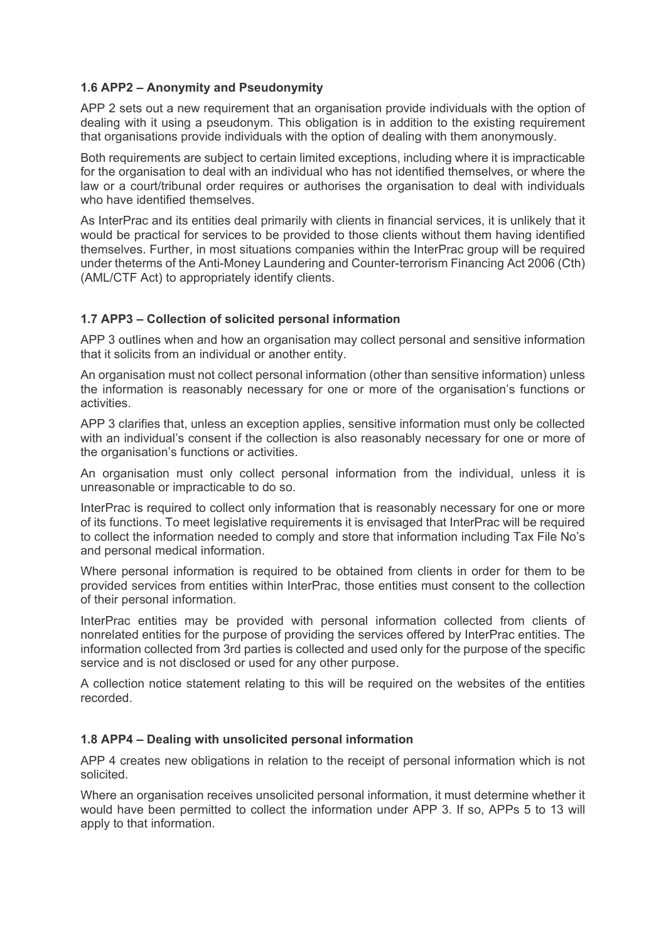#### **1.6 APP2 – Anonymity and Pseudonymity**

APP 2 sets out a new requirement that an organisation provide individuals with the option of dealing with it using a pseudonym. This obligation is in addition to the existing requirement that organisations provide individuals with the option of dealing with them anonymously.

Both requirements are subject to certain limited exceptions, including where it is impracticable for the organisation to deal with an individual who has not identified themselves, or where the law or a court/tribunal order requires or authorises the organisation to deal with individuals who have identified themselves.

As InterPrac and its entities deal primarily with clients in financial services, it is unlikely that it would be practical for services to be provided to those clients without them having identified themselves. Further, in most situations companies within the InterPrac group will be required under theterms of the Anti-Money Laundering and Counter-terrorism Financing Act 2006 (Cth) (AML/CTF Act) to appropriately identify clients.

#### **1.7 APP3 – Collection of solicited personal information**

APP 3 outlines when and how an organisation may collect personal and sensitive information that it solicits from an individual or another entity.

An organisation must not collect personal information (other than sensitive information) unless the information is reasonably necessary for one or more of the organisation's functions or activities.

APP 3 clarifies that, unless an exception applies, sensitive information must only be collected with an individual's consent if the collection is also reasonably necessary for one or more of the organisation's functions or activities.

An organisation must only collect personal information from the individual, unless it is unreasonable or impracticable to do so.

InterPrac is required to collect only information that is reasonably necessary for one or more of its functions. To meet legislative requirements it is envisaged that InterPrac will be required to collect the information needed to comply and store that information including Tax File No's and personal medical information.

Where personal information is required to be obtained from clients in order for them to be provided services from entities within InterPrac, those entities must consent to the collection of their personal information.

InterPrac entities may be provided with personal information collected from clients of nonrelated entities for the purpose of providing the services offered by InterPrac entities. The information collected from 3rd parties is collected and used only for the purpose of the specific service and is not disclosed or used for any other purpose.

A collection notice statement relating to this will be required on the websites of the entities recorded.

#### **1.8 APP4 – Dealing with unsolicited personal information**

APP 4 creates new obligations in relation to the receipt of personal information which is not solicited.

Where an organisation receives unsolicited personal information, it must determine whether it would have been permitted to collect the information under APP 3. If so, APPs 5 to 13 will apply to that information.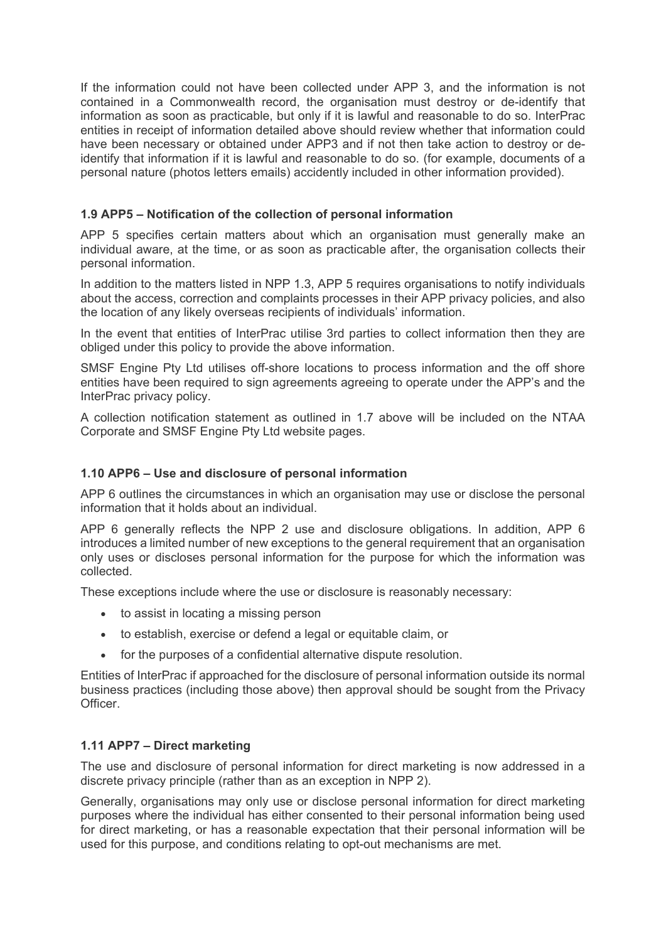If the information could not have been collected under APP 3, and the information is not contained in a Commonwealth record, the organisation must destroy or de-identify that information as soon as practicable, but only if it is lawful and reasonable to do so. InterPrac entities in receipt of information detailed above should review whether that information could have been necessary or obtained under APP3 and if not then take action to destroy or deidentify that information if it is lawful and reasonable to do so. (for example, documents of a personal nature (photos letters emails) accidently included in other information provided).

## **1.9 APP5 – Notification of the collection of personal information**

APP 5 specifies certain matters about which an organisation must generally make an individual aware, at the time, or as soon as practicable after, the organisation collects their personal information.

In addition to the matters listed in NPP 1.3, APP 5 requires organisations to notify individuals about the access, correction and complaints processes in their APP privacy policies, and also the location of any likely overseas recipients of individuals' information.

In the event that entities of InterPrac utilise 3rd parties to collect information then they are obliged under this policy to provide the above information.

SMSF Engine Pty Ltd utilises off-shore locations to process information and the off shore entities have been required to sign agreements agreeing to operate under the APP's and the InterPrac privacy policy.

A collection notification statement as outlined in 1.7 above will be included on the NTAA Corporate and SMSF Engine Pty Ltd website pages.

## **1.10 APP6 – Use and disclosure of personal information**

APP 6 outlines the circumstances in which an organisation may use or disclose the personal information that it holds about an individual.

APP 6 generally reflects the NPP 2 use and disclosure obligations. In addition, APP 6 introduces a limited number of new exceptions to the general requirement that an organisation only uses or discloses personal information for the purpose for which the information was collected.

These exceptions include where the use or disclosure is reasonably necessary:

- to assist in locating a missing person
- to establish, exercise or defend a legal or equitable claim, or
- for the purposes of a confidential alternative dispute resolution.

Entities of InterPrac if approached for the disclosure of personal information outside its normal business practices (including those above) then approval should be sought from the Privacy **Officer** 

#### **1.11 APP7 – Direct marketing**

The use and disclosure of personal information for direct marketing is now addressed in a discrete privacy principle (rather than as an exception in NPP 2).

Generally, organisations may only use or disclose personal information for direct marketing purposes where the individual has either consented to their personal information being used for direct marketing, or has a reasonable expectation that their personal information will be used for this purpose, and conditions relating to opt-out mechanisms are met.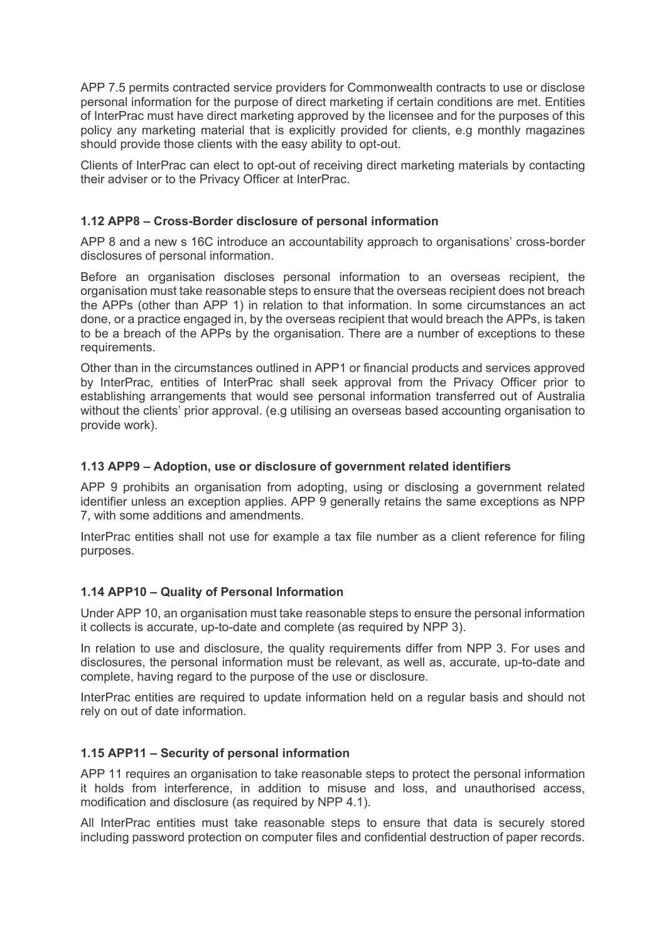APP 7.5 permits contracted service providers for Commonwealth contracts to use or disclose personal information for the purpose of direct marketing if certain conditions are met. Entities of InterPrac must have direct marketing approved by the licensee and for the purposes of this policy any marketing material that is explicitly provided for clients, e.g monthly magazines should provide those clients with the easy ability to opt-out.

Clients of InterPrac can elect to opt-out of receiving direct marketing materials by contacting their adviser or to the Privacy Officer at InterPrac.

## **1.12 APP8 – Cross-Border disclosure of personal information**

APP 8 and a new s 16C introduce an accountability approach to organisations' cross-border disclosures of personal information.

Before an organisation discloses personal information to an overseas recipient, the organisation must take reasonable steps to ensure that the overseas recipient does not breach the APPs (other than APP 1) in relation to that information. In some circumstances an act done, or a practice engaged in, by the overseas recipient that would breach the APPs, is taken to be a breach of the APPs by the organisation. There are a number of exceptions to these requirements.

Other than in the circumstances outlined in APP1 or financial products and services approved by InterPrac, entities of InterPrac shall seek approval from the Privacy Officer prior to establishing arrangements that would see personal information transferred out of Australia without the clients' prior approval. (e.g utilising an overseas based accounting organisation to provide work).

#### **1.13 APP9 – Adoption, use or disclosure of government related identifiers**

APP 9 prohibits an organisation from adopting, using or disclosing a government related identifier unless an exception applies. APP 9 generally retains the same exceptions as NPP 7, with some additions and amendments.

InterPrac entities shall not use for example a tax file number as a client reference for filing purposes.

## **1.14 APP10 – Quality of Personal Information**

Under APP 10, an organisation must take reasonable steps to ensure the personal information it collects is accurate, up-to-date and complete (as required by NPP 3).

In relation to use and disclosure, the quality requirements differ from NPP 3. For uses and disclosures, the personal information must be relevant, as well as, accurate, up-to-date and complete, having regard to the purpose of the use or disclosure.

InterPrac entities are required to update information held on a regular basis and should not rely on out of date information.

#### **1.15 APP11 – Security of personal information**

APP 11 requires an organisation to take reasonable steps to protect the personal information it holds from interference, in addition to misuse and loss, and unauthorised access, modification and disclosure (as required by NPP 4.1).

All InterPrac entities must take reasonable steps to ensure that data is securely stored including password protection on computer files and confidential destruction of paper records.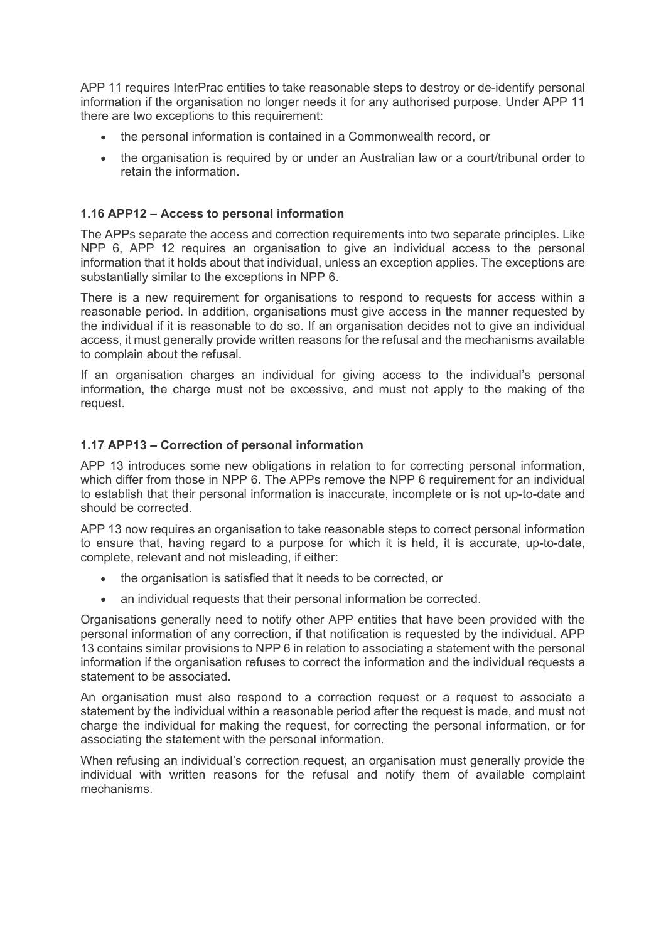APP 11 requires InterPrac entities to take reasonable steps to destroy or de-identify personal information if the organisation no longer needs it for any authorised purpose. Under APP 11 there are two exceptions to this requirement:

- the personal information is contained in a Commonwealth record, or
- the organisation is required by or under an Australian law or a court/tribunal order to retain the information.

## **1.16 APP12 – Access to personal information**

The APPs separate the access and correction requirements into two separate principles. Like NPP 6, APP 12 requires an organisation to give an individual access to the personal information that it holds about that individual, unless an exception applies. The exceptions are substantially similar to the exceptions in NPP 6.

There is a new requirement for organisations to respond to requests for access within a reasonable period. In addition, organisations must give access in the manner requested by the individual if it is reasonable to do so. If an organisation decides not to give an individual access, it must generally provide written reasons for the refusal and the mechanisms available to complain about the refusal.

If an organisation charges an individual for giving access to the individual's personal information, the charge must not be excessive, and must not apply to the making of the request.

## **1.17 APP13 – Correction of personal information**

APP 13 introduces some new obligations in relation to for correcting personal information, which differ from those in NPP 6. The APPs remove the NPP 6 requirement for an individual to establish that their personal information is inaccurate, incomplete or is not up-to-date and should be corrected.

APP 13 now requires an organisation to take reasonable steps to correct personal information to ensure that, having regard to a purpose for which it is held, it is accurate, up-to-date, complete, relevant and not misleading, if either:

- the organisation is satisfied that it needs to be corrected, or
- an individual requests that their personal information be corrected.

Organisations generally need to notify other APP entities that have been provided with the personal information of any correction, if that notification is requested by the individual. APP 13 contains similar provisions to NPP 6 in relation to associating a statement with the personal information if the organisation refuses to correct the information and the individual requests a statement to be associated.

An organisation must also respond to a correction request or a request to associate a statement by the individual within a reasonable period after the request is made, and must not charge the individual for making the request, for correcting the personal information, or for associating the statement with the personal information.

When refusing an individual's correction request, an organisation must generally provide the individual with written reasons for the refusal and notify them of available complaint mechanisms.